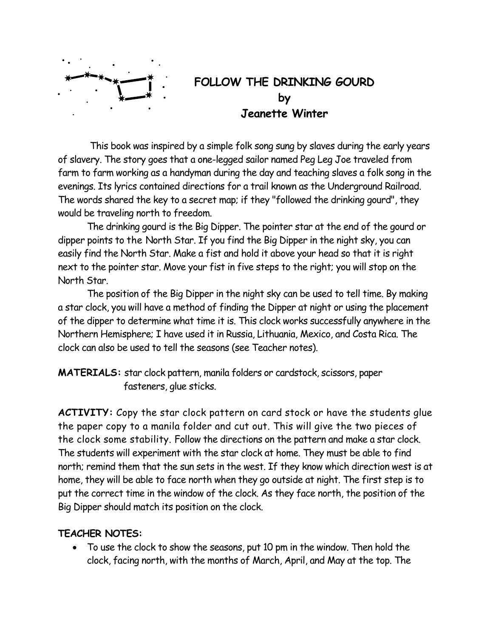

This book was inspired by a simple folk song sung by slaves during the early years of slavery. The story goes that a one-legged sailor named Peg Leg Joe traveled from farm to farm working as a handyman during the day and teaching slaves a folk song in the evenings. Its lyrics contained directions for a trail known as the Underground Railroad. The words shared the key to a secret map; if they "followed the drinking gourd", they would be traveling north to freedom.

 The drinking gourd is the Big Dipper. The pointer star at the end of the gourd or dipper points to the North Star. If you find the Big Dipper in the night sky, you can easily find the North Star. Make a fist and hold it above your head so that it is right next to the pointer star. Move your fist in five steps to the right; you will stop on the North Star.

 The position of the Big Dipper in the night sky can be used to tell time. By making a star clock, you will have a method of finding the Dipper at night or using the placement of the dipper to determine what time it is. This clock works successfully anywhere in the Northern Hemisphere; I have used it in Russia, Lithuania, Mexico, and Costa Rica. The clock can also be used to tell the seasons (see Teacher notes).

**MATERIALS:** star clock pattern, manila folders or cardstock, scissors, paper fasteners, glue sticks.

**ACTIVITY:** Copy the star clock pattern on card stock or have the students glue the paper copy to a manila folder and cut out. This will give the two pieces of the clock some stability. Follow the directions on the pattern and make a star clock. The students will experiment with the star clock at home. They must be able to find north; remind them that the sun sets in the west. If they know which direction west is at home, they will be able to face north when they go outside at night. The first step is to put the correct time in the window of the clock. As they face north, the position of the Big Dipper should match its position on the clock.

## **TEACHER NOTES:**

• To use the clock to show the seasons, put 10 pm in the window. Then hold the clock, facing north, with the months of March, April, and May at the top. The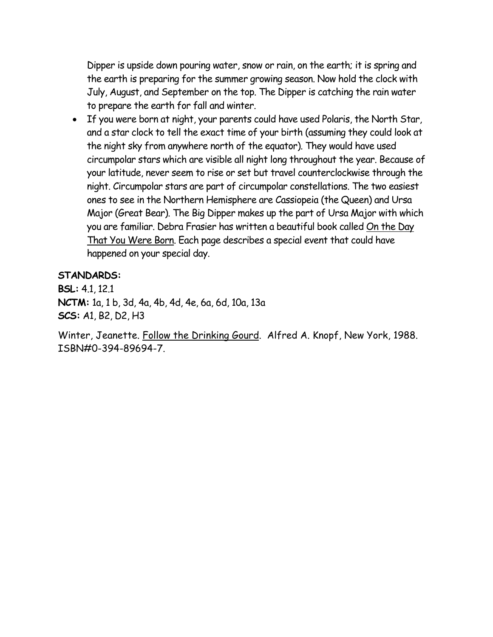Dipper is upside down pouring water, snow or rain, on the earth; it is spring and the earth is preparing for the summer growing season. Now hold the clock with July, August, and September on the top. The Dipper is catching the rain water to prepare the earth for fall and winter.

• If you were born at night, your parents could have used Polaris, the North Star, and a star clock to tell the exact time of your birth (assuming they could look at the night sky from anywhere north of the equator). They would have used circumpolar stars which are visible all night long throughout the year. Because of your latitude, never seem to rise or set but travel counterclockwise through the night. Circumpolar stars are part of circumpolar constellations. The two easiest ones to see in the Northern Hemisphere are Cassiopeia (the Queen) and Ursa Major (Great Bear). The Big Dipper makes up the part of Ursa Major with which you are familiar. Debra Frasier has written a beautiful book called On the Day That You Were Born. Each page describes a special event that could have happened on your special day.

## **STANDARDS:**

**BSL:** 4.1, 12.1 **NCTM:** 1a, 1 b, 3d, 4a, 4b, 4d, 4e, 6a, 6d, 10a, 13a **SCS:** A1, B2, D2, H3

Winter, Jeanette. Follow the Drinking Gourd. Alfred A. Knopf, New York, 1988. ISBN#0-394-89694-7.